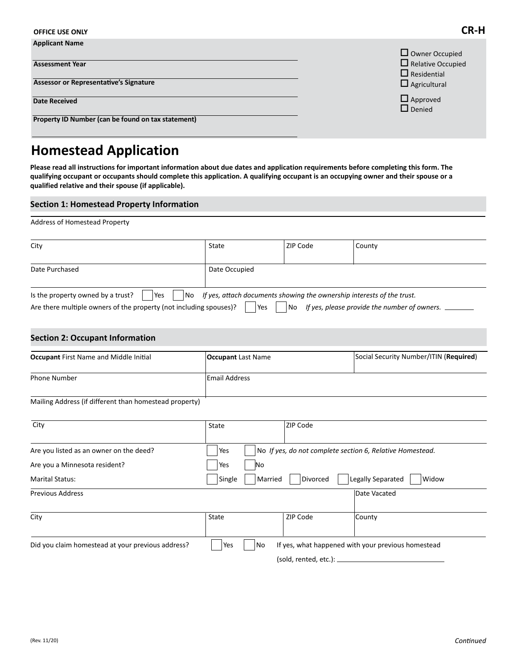| <b>OFFICE USE ONLY</b>                                                                    | LK-                                                                                            |
|-------------------------------------------------------------------------------------------|------------------------------------------------------------------------------------------------|
| <b>Applicant Name</b><br><b>Assessment Year</b><br>Assessor or Representative's Signature | $\Box$ Owner Occupied<br>$\Box$ Relative Occupied<br>$\Box$ Residential<br>$\Box$ Agricultural |
| <b>Date Received</b><br>Property ID Number (can be found on tax statement)                | $\Box$ Approved<br>$\Box$ Denied                                                               |

# **Homestead Application**

**Please read all instructions for important information about due dates and application requirements before completing this form. The qualifying occupant or occupants should complete this application. A qualifying occupant is an occupying owner and their spouse or a qualified relative and their spouse (if applicable).**

### **Section 1: Homestead Property Information**

Address of Homestead Property

| City                                                                                                                   | State                                                                                                                                  | <b>ZIP Code</b> | County |
|------------------------------------------------------------------------------------------------------------------------|----------------------------------------------------------------------------------------------------------------------------------------|-----------------|--------|
| Date Purchased                                                                                                         | Date Occupied                                                                                                                          |                 |        |
| Is the property owned by a trust?<br>Yes<br>l No<br>Are there multiple owners of the property (not including spouses)? | If yes, attach documents showing the ownership interests of the trust.<br>If yes, please provide the number of owners.<br>l Yes<br>No. |                 |        |

### **Section 2: Occupant Information**

| <b>Occupant First Name and Middle Initial</b>                                         | <b>Occupant</b> Last Name | Social Security Number/ITIN (Required) |
|---------------------------------------------------------------------------------------|---------------------------|----------------------------------------|
| <b>Phone Number</b>                                                                   | <b>Email Address</b>      |                                        |
| <b>A Alathorne A shake are the sheet concern along the concernsion of proposition</b> |                           |                                        |

Mailing Address (if different than homestead property)

| City                                              | State                                                            | <b>ZIP Code</b>           |                                                    |  |
|---------------------------------------------------|------------------------------------------------------------------|---------------------------|----------------------------------------------------|--|
| Are you listed as an owner on the deed?           | No If yes, do not complete section 6, Relative Homestead.<br>Yes |                           |                                                    |  |
| Are you a Minnesota resident?                     | Yes<br>No                                                        |                           |                                                    |  |
| <b>Marital Status:</b>                            | Legally Separated<br>Single<br>Married<br>Divorced<br>Widow      |                           |                                                    |  |
| <b>Previous Address</b>                           |                                                                  |                           | Date Vacated                                       |  |
| City                                              | State                                                            | ZIP Code                  | County                                             |  |
| Did you claim homestead at your previous address? | Yes<br>No                                                        |                           | If yes, what happened with your previous homestead |  |
|                                                   |                                                                  | (sold, rented, etc.): $-$ |                                                    |  |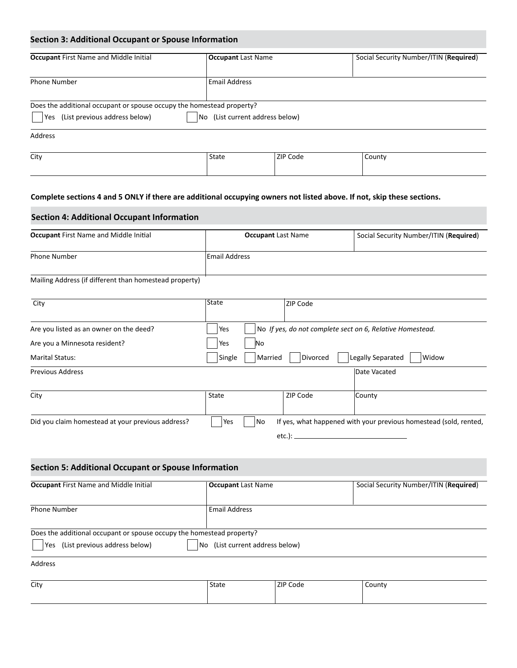## **Section 3: Additional Occupant or Spouse Information**

| <b>Occupant First Name and Middle Initial</b>                                                                                                        | <b>Occupant Last Name</b> |          | Social Security Number/ITIN (Required) |  |
|------------------------------------------------------------------------------------------------------------------------------------------------------|---------------------------|----------|----------------------------------------|--|
| <b>Phone Number</b>                                                                                                                                  | <b>Email Address</b>      |          |                                        |  |
| Does the additional occupant or spouse occupy the homestead property?<br>(List previous address below)<br>(List current address below)<br>Yes<br>No. |                           |          |                                        |  |
| Address                                                                                                                                              |                           |          |                                        |  |
| City                                                                                                                                                 | State                     | ZIP Code | County                                 |  |

### **Complete sections 4 and 5 ONLY if there are additional occupying owners not listed above. If not, skip these sections.**

### **Section 4: Additional Occupant Information**

| <b>Occupant First Name and Middle Initial</b>          | <b>Occupant Last Name</b> |                 | Social Security Number/ITIN (Required)                            |
|--------------------------------------------------------|---------------------------|-----------------|-------------------------------------------------------------------|
| <b>Phone Number</b>                                    | <b>Email Address</b>      |                 |                                                                   |
| Mailing Address (if different than homestead property) |                           |                 |                                                                   |
| City                                                   | State                     | <b>ZIP Code</b> |                                                                   |
| Are you listed as an owner on the deed?                | Yes                       |                 | No If yes, do not complete sect on 6, Relative Homestead.         |
| Are you a Minnesota resident?                          | Yes<br>No                 |                 |                                                                   |
| <b>Marital Status:</b>                                 | Single<br>Married         | Divorced        | Legally Separated<br>Widow                                        |
| <b>Previous Address</b>                                |                           |                 | Date Vacated                                                      |
| City                                                   | State                     | ZIP Code        | County                                                            |
| Did you claim homestead at your previous address?      | Yes<br>No                 |                 | If yes, what happened with your previous homestead (sold, rented, |
|                                                        |                           | etc.): $-$      |                                                                   |

## **Section 5: Additional Occupant or Spouse Information**

| <b>Occupant First Name and Middle Initial</b>                             | <b>Occupant Last Name</b> | Social Security Number/ITIN (Required) |  |
|---------------------------------------------------------------------------|---------------------------|----------------------------------------|--|
|                                                                           |                           |                                        |  |
| <b>Phone Number</b>                                                       | <b>Email Address</b>      |                                        |  |
|                                                                           |                           |                                        |  |
| Does the additional occupant or spouse occupy the homestead property?     |                           |                                        |  |
| (List previous address below)<br>No (List current address below)<br>l Yes |                           |                                        |  |
| Address                                                                   |                           |                                        |  |

| City | State | ZIP<br>Code | County<br>. |
|------|-------|-------------|-------------|
|      |       |             |             |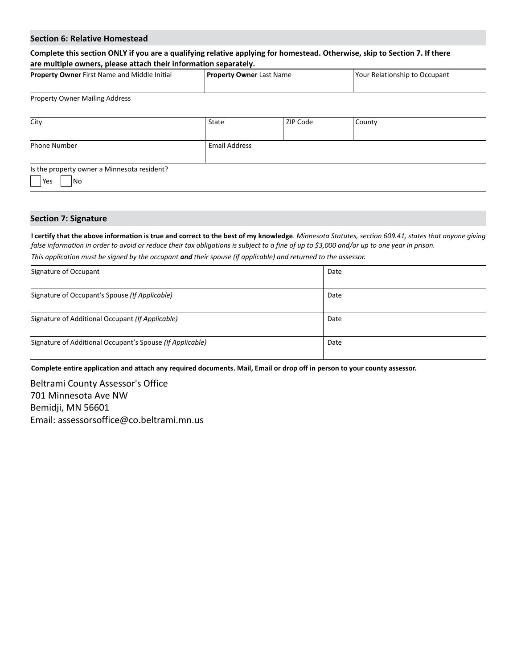#### **Section 6: Relative Homestead**

## **Complete this section ONLY if you are a qualifying relative applying for homestead. Otherwise, skip to Section 7. If there are multiple owners, please attach their information separately.**

| <b>Property Owner First Name and Middle Initial</b> | <b>Property Owner</b> Last Name | Your Relationship to Occupant |
|-----------------------------------------------------|---------------------------------|-------------------------------|
|                                                     |                                 |                               |
| <b>Property Owner Mailing Address</b>               |                                 |                               |

| City                                                      | State                | ZIP Code | County |
|-----------------------------------------------------------|----------------------|----------|--------|
| <b>Phone Number</b>                                       | <b>Email Address</b> |          |        |
| Is the property owner a Minnesota resident?<br> Yes<br>No |                      |          |        |

#### **Section 7: Signature**

**I certify that the above information is true and correct to the best of my knowledge**. *Minnesota Statutes, section 609.41, states that anyone giving false information in order to avoid or reduce their tax obligations is subject to a fine of up to \$3,000 and/or up to one year in prison.* 

*This application must be signed by the occupant and their spouse (if applicable) and returned to the assessor.*

| Signature of Occupant                                     | Date |
|-----------------------------------------------------------|------|
| Signature of Occupant's Spouse (If Applicable)            | Date |
| Signature of Additional Occupant (If Applicable)          | Date |
| Signature of Additional Occupant's Spouse (If Applicable) | Date |

**Complete entire application and attach any required documents. Mail, Email or drop off in person to your county assessor.**

Beltrami County Assessor's Office 701 Minnesota Ave NW Bemidji, MN 56601 Email: assessorsoffice@co.beltrami.mn.us